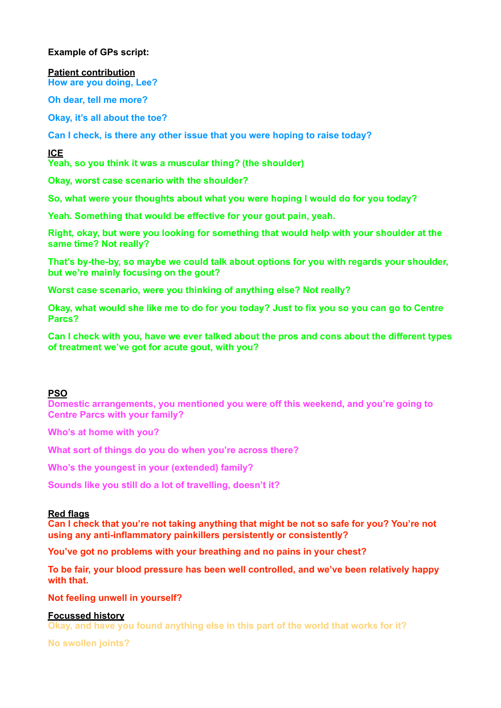# **Example of GPs script:**

**Patient contribution How are you doing, Lee?** 

**Oh dear, tell me more?** 

**Okay, it's all about the toe?** 

**Can I check, is there any other issue that you were hoping to raise today?**

**ICE** 

**Yeah, so you think it was a muscular thing? (the shoulder)** 

**Okay, worst case scenario with the shoulder?** 

**So, what were your thoughts about what you were hoping I would do for you today?** 

**Yeah. Something that would be effective for your gout pain, yeah.** 

**Right, okay, but were you looking for something that would help with your shoulder at the same time? Not really?** 

**That's by-the-by, so maybe we could talk about options for you with regards your shoulder, but we're mainly focusing on the gout?** 

**Worst case scenario, were you thinking of anything else? Not really?** 

**Okay, what would she like me to do for you today? Just to fix you so you can go to Centre Parcs?** 

**Can I check with you, have we ever talked about the pros and cons about the different types of treatment we've got for acute gout, with you?** 

## **PSO**

**Domestic arrangements, you mentioned you were off this weekend, and you're going to Centre Parcs with your family?** 

**Who's at home with you?** 

**What sort of things do you do when you're across there?** 

**Who's the youngest in your (extended) family?** 

**Sounds like you still do a lot of travelling, doesn't it?** 

## **Red flags**

**Can I check that you're not taking anything that might be not so safe for you? You're not using any anti-inflammatory painkillers persistently or consistently?** 

**You've got no problems with your breathing and no pains in your chest?**

**To be fair, your blood pressure has been well controlled, and we've been relatively happy with that.** 

**Not feeling unwell in yourself?** 

## **Focussed history**

**Okay, and have you found anything else in this part of the world that works for it?** 

**No swollen joints?**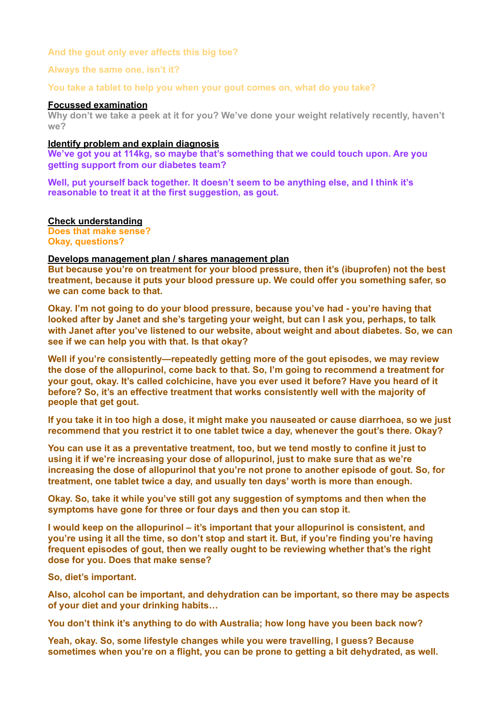## **And the gout only ever affects this big toe?**

## **Always the same one, isn't it?**

**You take a tablet to help you when your gout comes on, what do you take?** 

## **Focussed examination**

**Why don't we take a peek at it for you? We've done your weight relatively recently, haven't we?** 

## **Identify problem and explain diagnosis**

**We've got you at 114kg, so maybe that's something that we could touch upon. Are you getting support from our diabetes team?** 

**Well, put yourself back together. It doesn't seem to be anything else, and I think it's reasonable to treat it at the first suggestion, as gout.**

## **Check understanding**

**Does that make sense? Okay, questions?**

## **Develops management plan / shares management plan**

**But because you're on treatment for your blood pressure, then it's (ibuprofen) not the best treatment, because it puts your blood pressure up. We could offer you something safer, so we can come back to that.**

**Okay. I'm not going to do your blood pressure, because you've had - you're having that looked after by Janet and she's targeting your weight, but can I ask you, perhaps, to talk with Janet after you've listened to our website, about weight and about diabetes. So, we can see if we can help you with that. Is that okay?** 

**Well if you're consistently—repeatedly getting more of the gout episodes, we may review the dose of the allopurinol, come back to that. So, I'm going to recommend a treatment for your gout, okay. It's called colchicine, have you ever used it before? Have you heard of it before? So, it's an effective treatment that works consistently well with the majority of people that get gout.** 

**If you take it in too high a dose, it might make you nauseated or cause diarrhoea, so we just recommend that you restrict it to one tablet twice a day, whenever the gout's there. Okay?** 

**You can use it as a preventative treatment, too, but we tend mostly to confine it just to using it if we're increasing your dose of allopurinol, just to make sure that as we're increasing the dose of allopurinol that you're not prone to another episode of gout. So, for treatment, one tablet twice a day, and usually ten days' worth is more than enough.** 

**Okay. So, take it while you've still got any suggestion of symptoms and then when the symptoms have gone for three or four days and then you can stop it.** 

**I would keep on the allopurinol – it's important that your allopurinol is consistent, and you're using it all the time, so don't stop and start it. But, if you're finding you're having frequent episodes of gout, then we really ought to be reviewing whether that's the right dose for you. Does that make sense?** 

**So, diet's important.** 

**Also, alcohol can be important, and dehydration can be important, so there may be aspects of your diet and your drinking habits…** 

**You don't think it's anything to do with Australia; how long have you been back now?** 

**Yeah, okay. So, some lifestyle changes while you were travelling, I guess? Because sometimes when you're on a flight, you can be prone to getting a bit dehydrated, as well.**